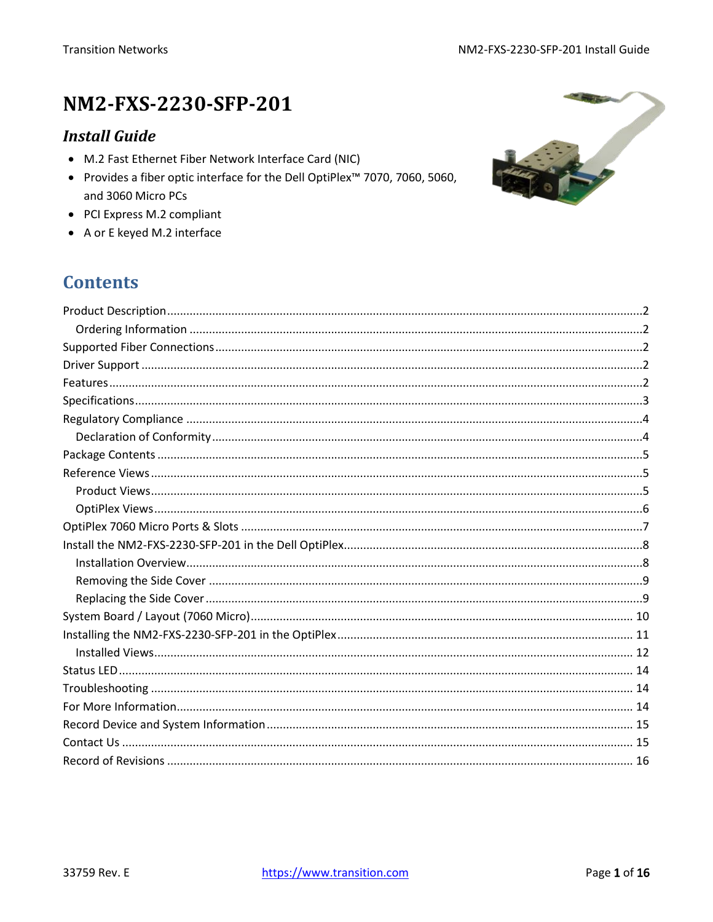# NM2-FXS-2230-SFP-201

### **Install Guide**

- M.2 Fast Ethernet Fiber Network Interface Card (NIC)
- Provides a fiber optic interface for the Dell OptiPlex<sup>™</sup> 7070, 7060, 5060, and 3060 Micro PCs
- PCI Express M.2 compliant
- A or E keyed M.2 interface

### **Contents**

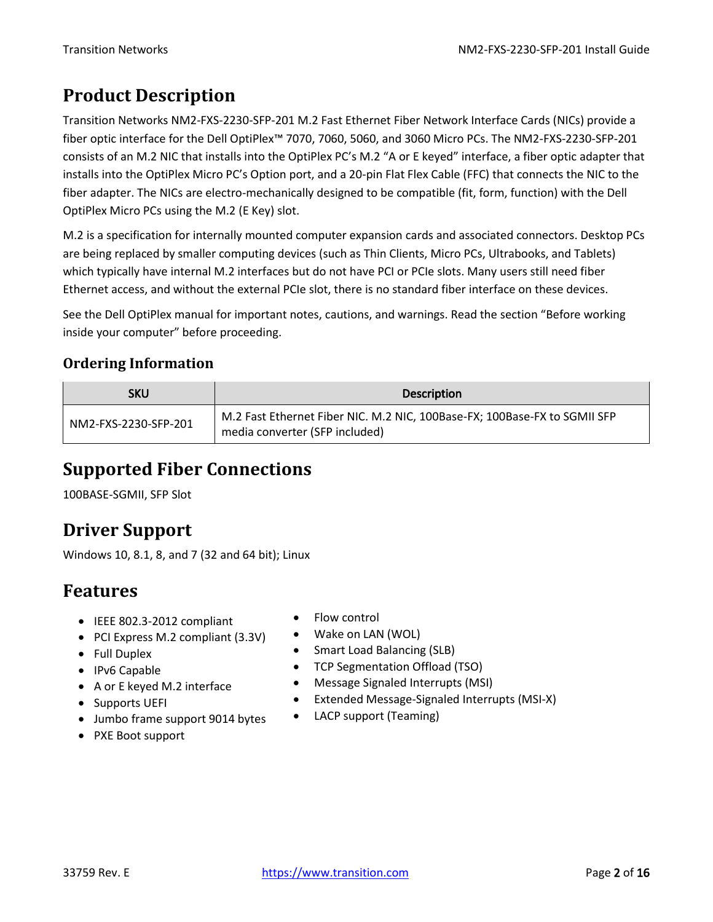# <span id="page-1-0"></span>**Product Description**

Transition Networks NM2-FXS-2230-SFP-201 M.2 Fast Ethernet Fiber Network Interface Cards (NICs) provide a fiber optic interface for the Dell OptiPlex™ 7070, 7060, 5060, and 3060 Micro PCs. The NM2-FXS-2230-SFP-201 consists of an M.2 NIC that installs into the OptiPlex PC's M.2 "A or E keyed" interface, a fiber optic adapter that installs into the OptiPlex Micro PC's Option port, and a 20-pin Flat Flex Cable (FFC) that connects the NIC to the fiber adapter. The NICs are electro-mechanically designed to be compatible (fit, form, function) with the Dell OptiPlex Micro PCs using the M.2 (E Key) slot.

M.2 is a specification for internally mounted computer expansion cards and associated connectors. Desktop PCs are being replaced by smaller computing devices (such as Thin Clients, Micro PCs, Ultrabooks, and Tablets) which typically have internal M.2 interfaces but do not have PCI or PCIe slots. Many users still need fiber Ethernet access, and without the external PCIe slot, there is no standard fiber interface on these devices.

See the Dell OptiPlex manual for important notes, cautions, and warnings. Read the section "Before working inside your computer" before proceeding.

### <span id="page-1-1"></span>**Ordering Information**

| <b>SKU</b>           | <b>Description</b>                                                                                          |
|----------------------|-------------------------------------------------------------------------------------------------------------|
| NM2-FXS-2230-SFP-201 | M.2 Fast Ethernet Fiber NIC. M.2 NIC, 100Base-FX; 100Base-FX to SGMII SFP<br>media converter (SFP included) |

### <span id="page-1-2"></span>**Supported Fiber Connections**

100BASE-SGMII, SFP Slot

# <span id="page-1-3"></span>**Driver Support**

Windows 10, 8.1, 8, and 7 (32 and 64 bit); Linux

### <span id="page-1-4"></span>**Features**

- IEEE 802.3-2012 compliant
- PCI Express M.2 compliant (3.3V)
- Full Duplex
- IPv6 Capable
- A or E keyed M.2 interface
- Supports UEFI
- Jumbo frame support 9014 bytes
- PXE Boot support
- Flow control
- Wake on LAN (WOL)
- Smart Load Balancing (SLB)
- TCP Segmentation Offload (TSO)
- Message Signaled Interrupts (MSI)
- Extended Message-Signaled Interrupts (MSI-X)
- LACP support (Teaming)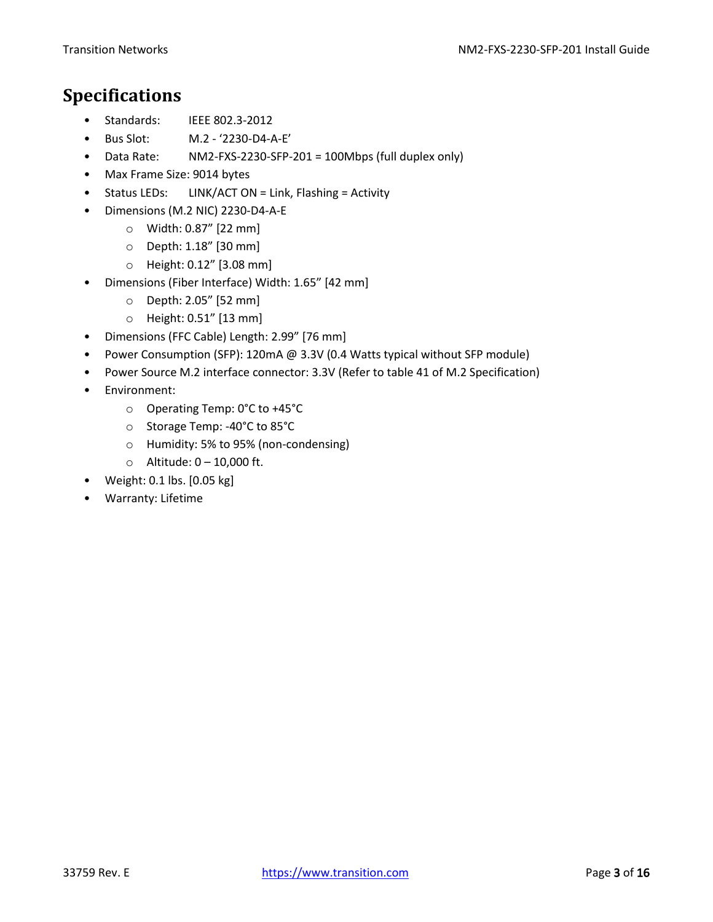### <span id="page-2-0"></span>**Specifications**

- Standards: IEEE 802.3-2012
- Bus Slot: M.2 '2230-D4-A-E'
- Data Rate: NM2-FXS-2230-SFP-201 = 100Mbps (full duplex only)
- Max Frame Size: 9014 bytes
- Status LEDs: LINK/ACT ON = Link, Flashing = Activity
- Dimensions (M.2 NIC) 2230-D4-A-E
	- o Width: 0.87" [22 mm]
	- o Depth: 1.18" [30 mm]
	- o Height: 0.12" [3.08 mm]
- Dimensions (Fiber Interface) Width: 1.65" [42 mm]
	- o Depth: 2.05" [52 mm]
	- o Height: 0.51" [13 mm]
- Dimensions (FFC Cable) Length: 2.99" [76 mm]
- Power Consumption (SFP): 120mA @ 3.3V (0.4 Watts typical without SFP module)
- Power Source M.2 interface connector: 3.3V (Refer to table 41 of M.2 Specification)
- Environment:
	- o Operating Temp: 0°C to +45°C
	- o Storage Temp: -40°C to 85°C
	- o Humidity: 5% to 95% (non-condensing)
	- $\circ$  Altitude:  $0 10,000$  ft.
- Weight: 0.1 lbs. [0.05 kg]
- Warranty: Lifetime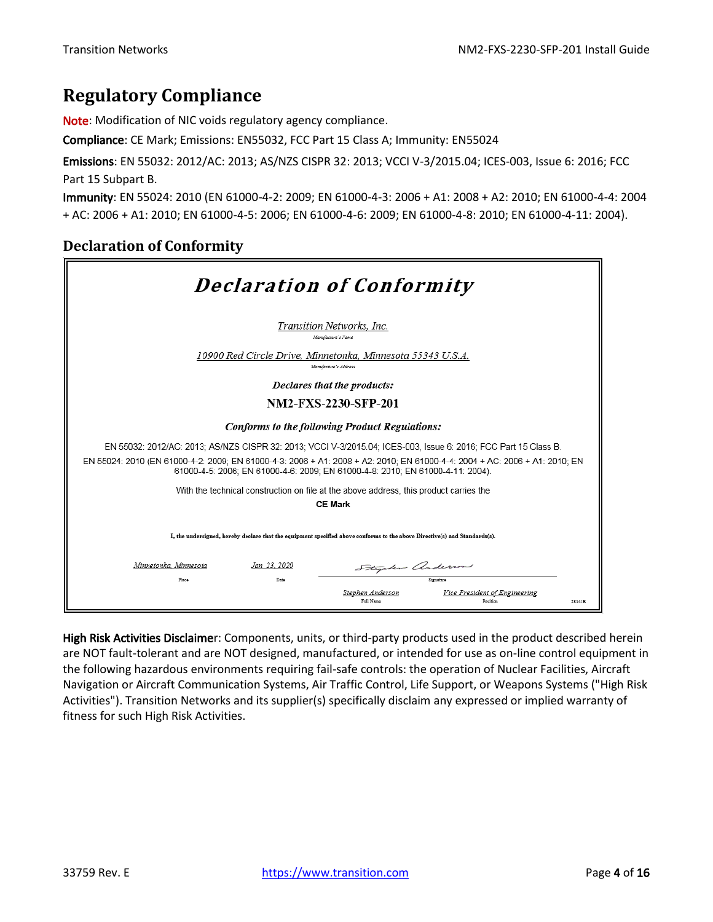### <span id="page-3-0"></span>**Regulatory Compliance**

Note: Modification of NIC voids regulatory agency compliance.

Compliance: CE Mark; Emissions: EN55032, FCC Part 15 Class A; Immunity: EN55024

Emissions: EN 55032: 2012/AC: 2013; AS/NZS CISPR 32: 2013; VCCI V-3/2015.04; ICES-003, Issue 6: 2016; FCC Part 15 Subpart B.

Immunity: EN 55024: 2010 (EN 61000-4-2: 2009; EN 61000-4-3: 2006 + A1: 2008 + A2: 2010; EN 61000-4-4: 2004 + AC: 2006 + A1: 2010; EN 61000-4-5: 2006; EN 61000-4-6: 2009; EN 61000-4-8: 2010; EN 61000-4-11: 2004).

#### <span id="page-3-1"></span>**Declaration of Conformity**

| <b>Declaration of Conformity</b>                                                                                                                                                                             |             |                                                                                     |                                           |        |
|--------------------------------------------------------------------------------------------------------------------------------------------------------------------------------------------------------------|-------------|-------------------------------------------------------------------------------------|-------------------------------------------|--------|
|                                                                                                                                                                                                              |             | Transition Networks, Inc.<br>Manufacture's Name                                     |                                           |        |
|                                                                                                                                                                                                              |             | 10900 Red Circle Drive, Minnetonka, Minnesota 55343 U.S.A.<br>Manufacture's Address |                                           |        |
| Declares that the products:                                                                                                                                                                                  |             |                                                                                     |                                           |        |
| <b>NM2-FXS-2230-SFP-201</b>                                                                                                                                                                                  |             |                                                                                     |                                           |        |
| Conforms to the following Product Regulations:                                                                                                                                                               |             |                                                                                     |                                           |        |
| EN 55032: 2012/AC: 2013: AS/NZS CISPR 32: 2013: VCCI V-3/2015.04: ICES-003. Issue 6: 2016: FCC Part 15 Class B.                                                                                              |             |                                                                                     |                                           |        |
| EN 55024: 2010 (EN 61000-4-2: 2009; EN 61000-4-3: 2006 + A1: 2008 + A2: 2010; EN 61000-4-4: 2004 + AC: 2006 + A1: 2010; EN<br>61000-4-5: 2006: EN 61000-4-6: 2009: EN 61000-4-8: 2010: EN 61000-4-11: 2004). |             |                                                                                     |                                           |        |
| With the technical construction on file at the above address, this product carries the                                                                                                                       |             |                                                                                     |                                           |        |
| <b>CE Mark</b>                                                                                                                                                                                               |             |                                                                                     |                                           |        |
| I, the undersigned, hereby declare that the equipment specified above conforms to the above Directive(s) and Standards(s).                                                                                   |             |                                                                                     |                                           |        |
| Minnetonka, Minnesota                                                                                                                                                                                        | Jan 23.2020 | Stephen anderson                                                                    |                                           |        |
| Place                                                                                                                                                                                                        | Date        |                                                                                     |                                           |        |
|                                                                                                                                                                                                              |             | Stephen Anderson<br>Full Name                                                       | Vice President of Engineering<br>Position | 28141B |

High Risk Activities Disclaimer: Components, units, or third-party products used in the product described herein are NOT fault-tolerant and are NOT designed, manufactured, or intended for use as on-line control equipment in the following hazardous environments requiring fail-safe controls: the operation of Nuclear Facilities, Aircraft Navigation or Aircraft Communication Systems, Air Traffic Control, Life Support, or Weapons Systems ("High Risk Activities"). Transition Networks and its supplier(s) specifically disclaim any expressed or implied warranty of fitness for such High Risk Activities.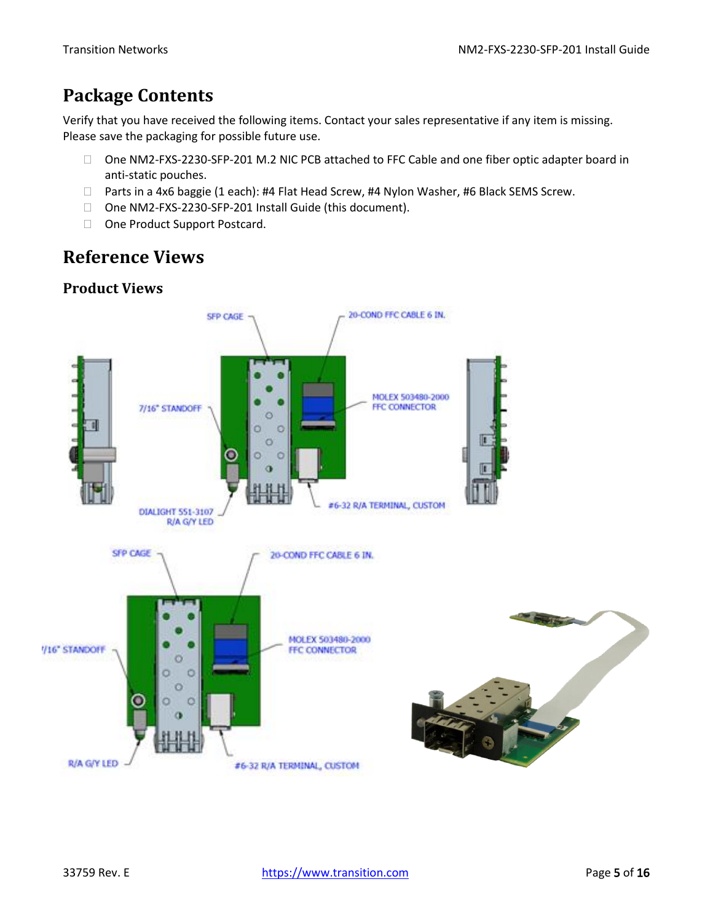# <span id="page-4-0"></span>**Package Contents**

Verify that you have received the following items. Contact your sales representative if any item is missing. Please save the packaging for possible future use.

- □ One NM2-FXS-2230-SFP-201 M.2 NIC PCB attached to FFC Cable and one fiber optic adapter board in anti-static pouches.
- □ Parts in a 4x6 baggie (1 each): #4 Flat Head Screw, #4 Nylon Washer, #6 Black SEMS Screw.
- □ One NM2-FXS-2230-SFP-201 Install Guide (this document).
- □ One Product Support Postcard.

## <span id="page-4-1"></span>**Reference Views**

### <span id="page-4-2"></span>**Product Views**

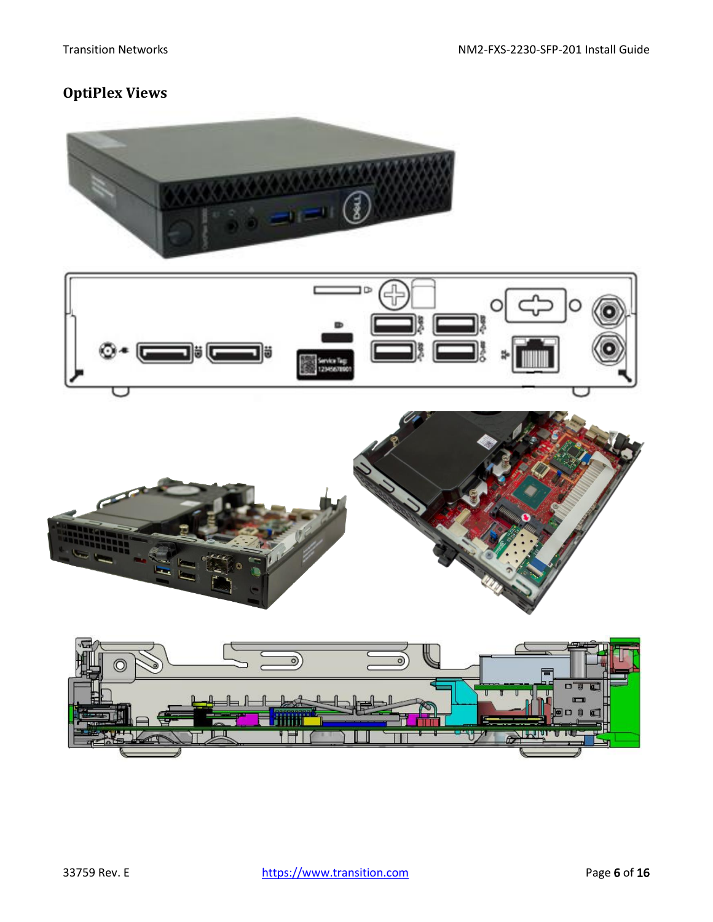### <span id="page-5-0"></span>**OptiPlex Views**







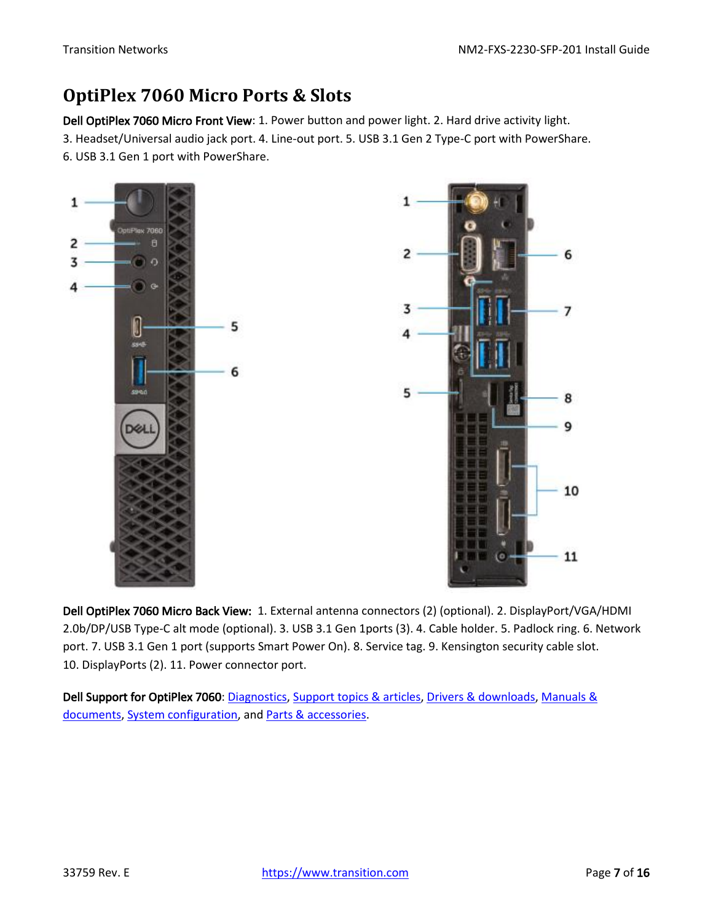### <span id="page-6-0"></span>**OptiPlex 7060 Micro Ports & Slots**

Dell OptiPlex 7060 Micro Front View: 1. Power button and power light. 2. Hard drive activity light. 3. Headset/Universal audio jack port. 4. Line-out port. 5. USB 3.1 Gen 2 Type-C port with PowerShare. 6. USB 3.1 Gen 1 port with PowerShare.



Dell OptiPlex 7060 Micro Back View: 1. External antenna connectors (2) (optional). 2. DisplayPort/VGA/HDMI 2.0b/DP/USB Type-C alt mode (optional). 3. USB 3.1 Gen 1ports (3). 4. Cable holder. 5. Padlock ring. 6. Network port. 7. USB 3.1 Gen 1 port (supports Smart Power On). 8. Service tag. 9. Kensington security cable slot. 10. DisplayPorts (2). 11. Power connector port.

Dell Support for OptiPlex 7060[: Diagnostics,](http://www.dell.com/support/home/us/en/04/product-support/product/optiplex-7060-desktop/diagnose) [Support topics & articles,](http://www.dell.com/support/home/us/en/04/product-support/product/optiplex-7060-desktop/research) [Drivers & downloads,](http://www.dell.com/support/home/us/en/04/product-support/product/optiplex-7060-desktop/drivers) [Manuals &](http://www.dell.com/support/home/us/en/04/product-support/product/optiplex-7060-desktop/manuals)  [documents,](http://www.dell.com/support/home/us/en/04/product-support/product/optiplex-7060-desktop/manuals) [System configuration,](http://www.dell.com/support/home/us/en/04/product-support/product/optiplex-7060-desktop/configuration) an[d Parts & accessories.](http://www.dell.com/support/home/us/en/04/product-support/product/optiplex-7060-desktop/upgrade)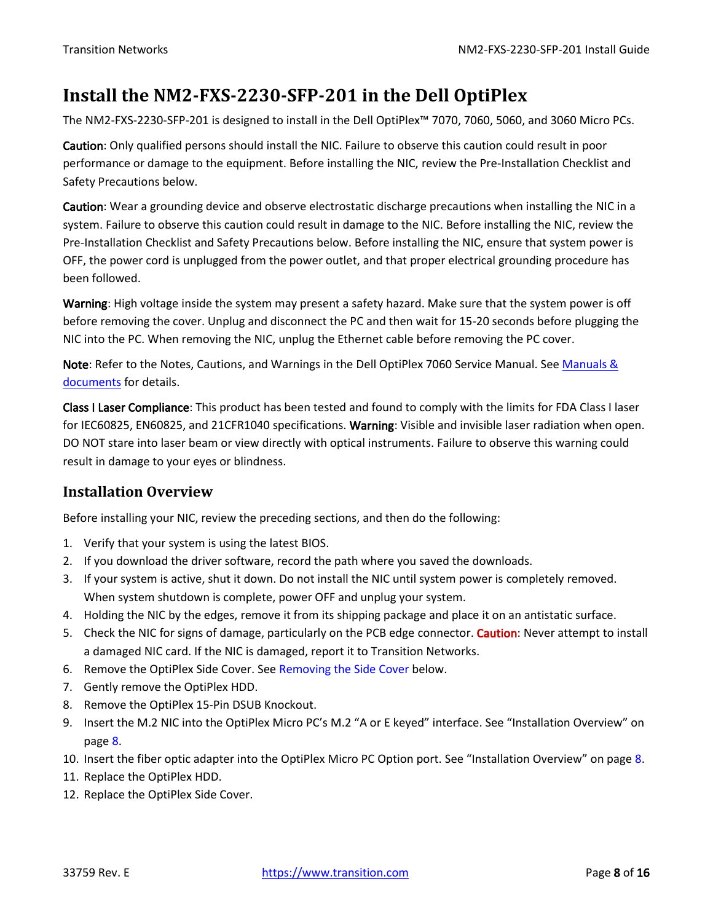### <span id="page-7-0"></span>**Install the NM2-FXS-2230-SFP-201 in the Dell OptiPlex**

The NM2-FXS-2230-SFP-201 is designed to install in the Dell OptiPlex™ 7070, 7060, 5060, and 3060 Micro PCs.

Caution: Only qualified persons should install the NIC. Failure to observe this caution could result in poor performance or damage to the equipment. Before installing the NIC, review the Pre-Installation Checklist and Safety Precautions below.

Caution: Wear a grounding device and observe electrostatic discharge precautions when installing the NIC in a system. Failure to observe this caution could result in damage to the NIC. Before installing the NIC, review the Pre-Installation Checklist and Safety Precautions below. Before installing the NIC, ensure that system power is OFF, the power cord is unplugged from the power outlet, and that proper electrical grounding procedure has been followed.

Warning: High voltage inside the system may present a safety hazard. Make sure that the system power is off before removing the cover. Unplug and disconnect the PC and then wait for 15-20 seconds before plugging the NIC into the PC. When removing the NIC, unplug the Ethernet cable before removing the PC cover.

Note: Refer to the Notes, Cautions, and Warnings in the Dell OptiPlex 7060 Service Manual. See Manuals & [documents](http://www.dell.com/support/home/us/en/04/product-support/product/optiplex-7060-desktop/manuals) for details.

Class I Laser Compliance: This product has been tested and found to comply with the limits for FDA Class I laser for IEC60825, EN60825, and 21CFR1040 specifications. Warning: Visible and invisible laser radiation when open. DO NOT stare into laser beam or view directly with optical instruments. Failure to observe this warning could result in damage to your eyes or blindness.

### <span id="page-7-1"></span>**Installation Overview**

Before installing your NIC, review the preceding sections, and then do the following:

- 1. Verify that your system is using the latest BIOS.
- 2. If you download the driver software, record the path where you saved the downloads.
- 3. If your system is active, shut it down. Do not install the NIC until system power is completely removed. When system shutdown is complete, power OFF and unplug your system.
- 4. Holding the NIC by the edges, remove it from its shipping package and place it on an antistatic surface.
- 5. Check the NIC for signs of damage, particularly on the PCB edge connector. Caution: Never attempt to install a damaged NIC card. If the NIC is damaged, report it to Transition Networks.
- 6. Remove the OptiPlex Side Cover. See Removing the Side Cover below.
- 7. Gently remove the OptiPlex HDD.
- 8. Remove the OptiPlex 15-Pin DSUB Knockout.
- 9. Insert the M.2 NIC into the OptiPlex Micro PC's M.2 "A or E keyed" interface. See "[Installation Overview](#page-7-1)" on page [8.](#page-7-1)
- 10. Insert the fiber optic adapter into the OptiPlex Micro PC Option port. See "[Installation Overview](#page-7-1)" on page [8.](#page-7-1)
- 11. Replace the OptiPlex HDD.
- 12. Replace the OptiPlex Side Cover.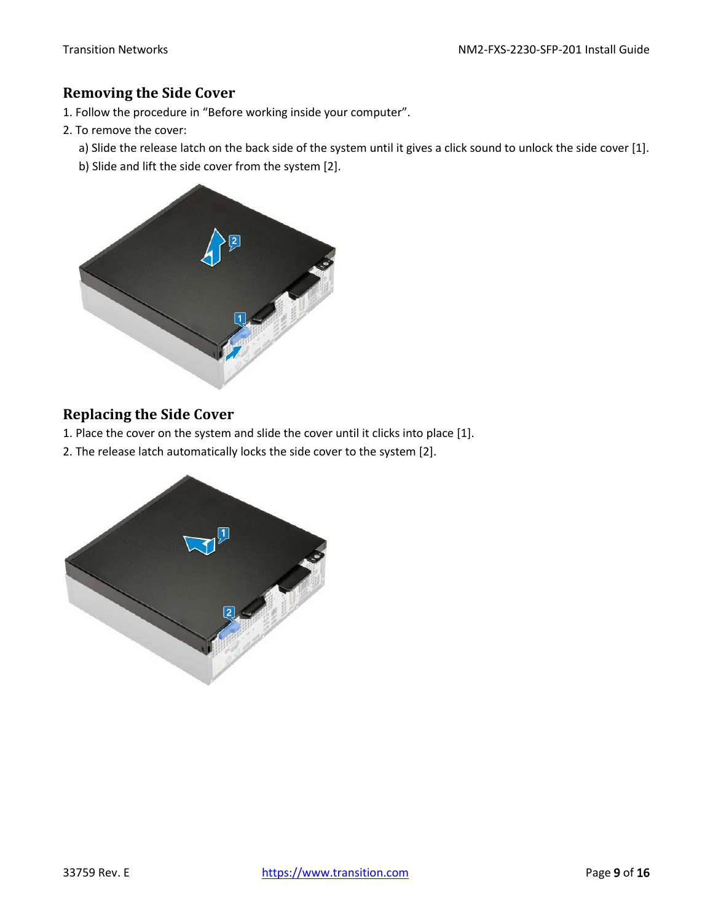#### <span id="page-8-0"></span>**Removing the Side Cover**

- 1. Follow the procedure in "Before working inside your computer".
- 2. To remove the cover:
	- a) Slide the release latch on the back side of the system until it gives a click sound to unlock the side cover [1].
	- b) Slide and lift the side cover from the system [2].



### <span id="page-8-1"></span>**Replacing the Side Cover**

- 1. Place the cover on the system and slide the cover until it clicks into place [1].
- 2. The release latch automatically locks the side cover to the system [2].

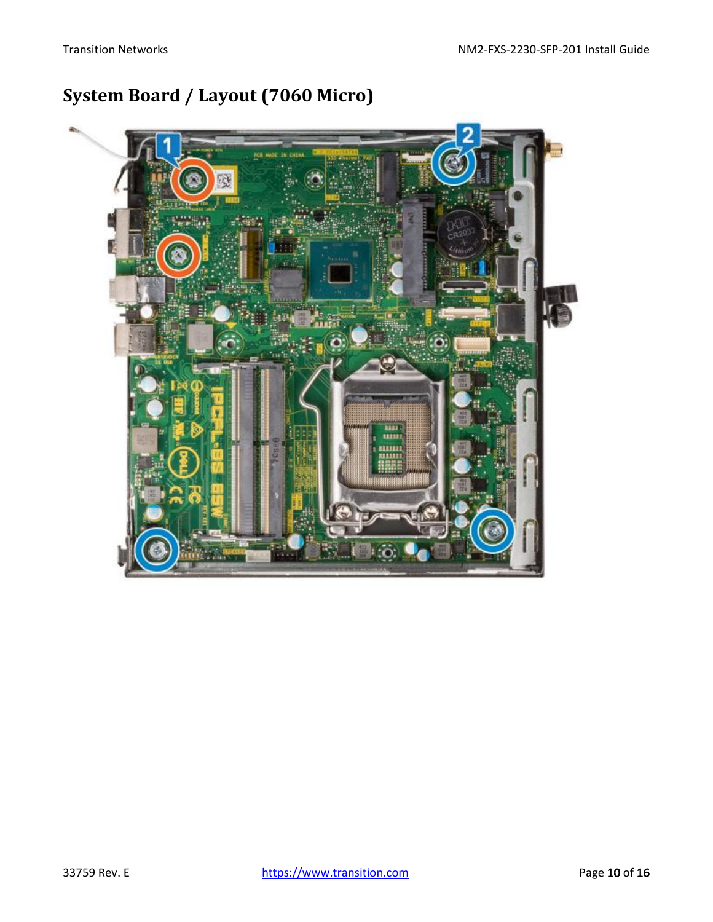# <span id="page-9-0"></span>**System Board / Layout (7060 Micro)**

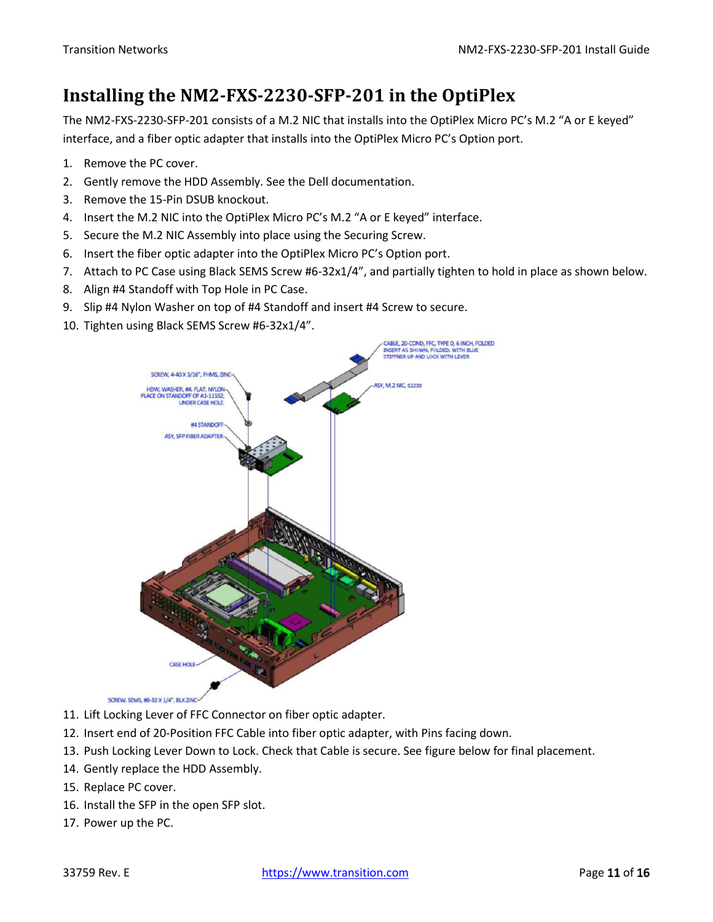### <span id="page-10-0"></span>**Installing the NM2-FXS-2230-SFP-201 in the OptiPlex**

The NM2-FXS-2230-SFP-201 consists of a M.2 NIC that installs into the OptiPlex Micro PC's M.2 "A or E keyed" interface, and a fiber optic adapter that installs into the OptiPlex Micro PC's Option port.

- 1. Remove the PC cover.
- 2. Gently remove the HDD Assembly. See the Dell documentation.
- 3. Remove the 15-Pin DSUB knockout.
- 4. Insert the M.2 NIC into the OptiPlex Micro PC's M.2 "A or E keyed" interface.
- 5. Secure the M.2 NIC Assembly into place using the Securing Screw.
- 6. Insert the fiber optic adapter into the OptiPlex Micro PC's Option port.
- 7. Attach to PC Case using Black SEMS Screw #6-32x1/4", and partially tighten to hold in place as shown below.
- 8. Align #4 Standoff with Top Hole in PC Case.
- 9. Slip #4 Nylon Washer on top of #4 Standoff and insert #4 Screw to secure.
- 10. Tighten using Black SEMS Screw #6-32x1/4".



- SCREW, SEMS, #6-32 X 1/4", BLK ZINC-
- 11. Lift Locking Lever of FFC Connector on fiber optic adapter.
- 12. Insert end of 20-Position FFC Cable into fiber optic adapter, with Pins facing down.
- 13. Push Locking Lever Down to Lock. Check that Cable is secure. See figure below for final placement.
- 14. Gently replace the HDD Assembly.
- 15. Replace PC cover.
- 16. Install the SFP in the open SFP slot.
- 17. Power up the PC.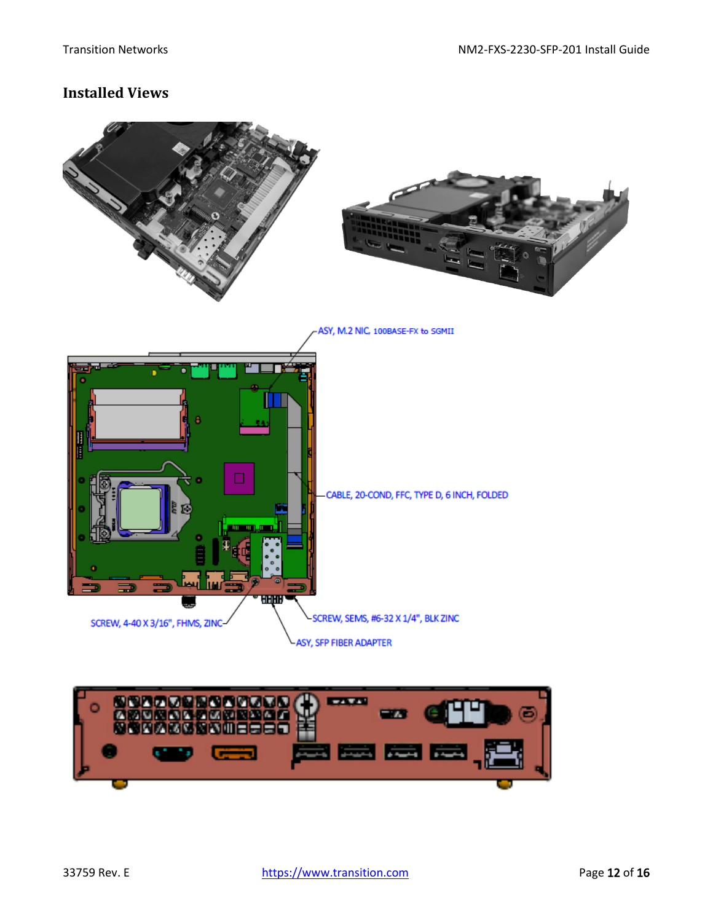#### <span id="page-11-0"></span>**Installed Views**



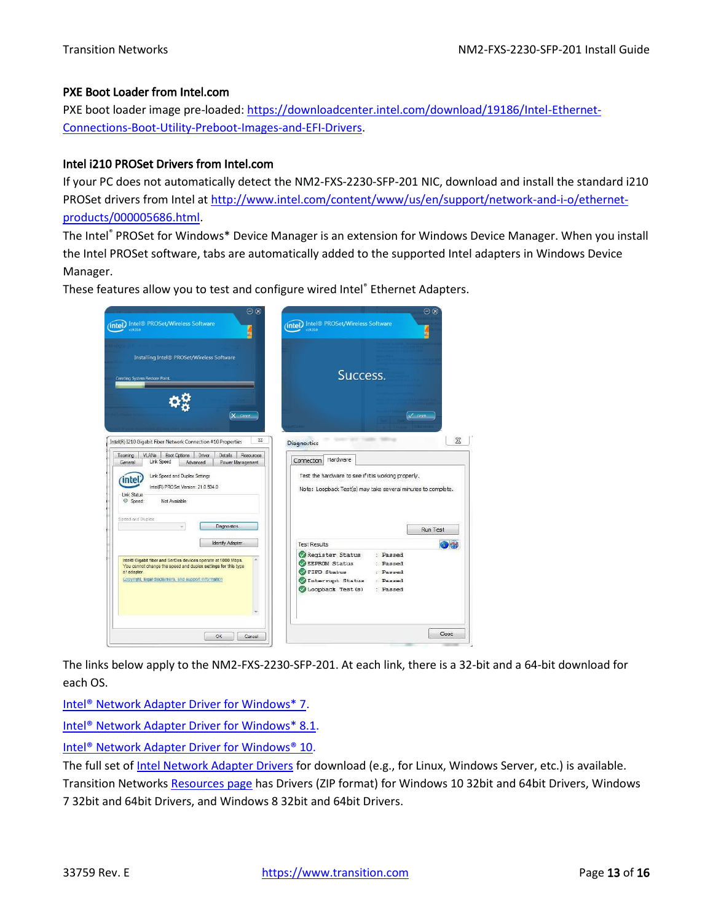#### PXE Boot Loader from Intel.com

PXE boot loader image pre-loaded: [https://downloadcenter.intel.com/download/19186/Intel-Ethernet-](https://downloadcenter.intel.com/download/19186/Intel-Ethernet-Connections-Boot-Utility-Preboot-Images-and-EFI-Drivers)[Connections-Boot-Utility-Preboot-Images-and-EFI-Drivers.](https://downloadcenter.intel.com/download/19186/Intel-Ethernet-Connections-Boot-Utility-Preboot-Images-and-EFI-Drivers)

#### Intel i210 PROSet Drivers from Intel.com

If your PC does not automatically detect the NM2-FXS-2230-SFP-201 NIC, download and install the standard i210 PROSet drivers from Intel at [http://www.intel.com/content/www/us/en/support/network-and-i-o/ethernet](http://www.intel.com/content/www/us/en/support/network-and-i-o/ethernet-products/000005686.html)[products/000005686.html.](http://www.intel.com/content/www/us/en/support/network-and-i-o/ethernet-products/000005686.html)

The Intel® PROSet for Windows\* Device Manager is an extension for Windows Device Manager. When you install the Intel PROSet software, tabs are automatically added to the supported Intel adapters in Windows Device Manager.

These features allow you to test and configure wired Intel® Ethernet Adapters.



The links below apply to the NM2-FXS-2230-SFP-201. At each link, there is a 32-bit and a 64-bit download for each OS.

Intel<sup>®</sup> Network Adapter Driver for Windows\* 7.

[Intel® Network Adapter Driver for Windows\\* 8.1.](https://downloadcenter.intel.com/download/23071/Ethernet-Intel-Network-Adapter-Driver-for-Windows-8-1?product=36773)

[Intel® Network Adapter Driver for Windows® 10.](https://downloadcenter.intel.com/download/25016/Intel-Network-Adapter-Driver-for-Windows-10?product=36773)

The full set of [Intel Network Adapter Drivers](https://downloadcenter.intel.com/search?keyword=Network+Adapter+Driver) for download (e.g., for Linux, Windows Server, etc.) is available. Transition Networks [Resources page](https://www.transition.com/products/network-adapters/nm2-gxe-2230-xx-01/) has Drivers (ZIP format) for Windows 10 32bit and 64bit Drivers, Windows 7 32bit and 64bit Drivers, and Windows 8 32bit and 64bit Drivers.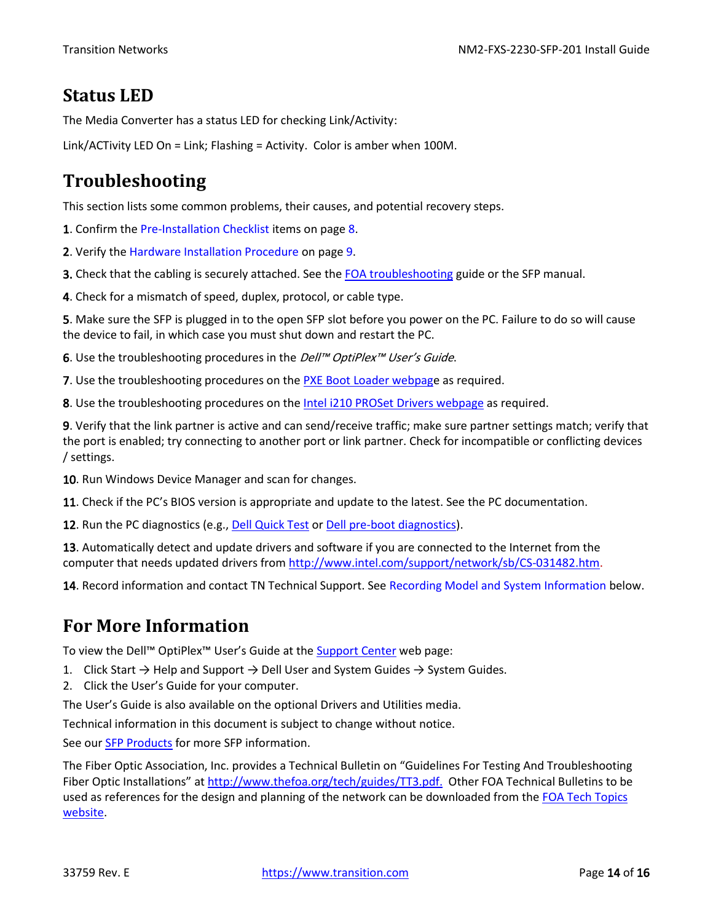### <span id="page-13-0"></span>**Status LED**

The Media Converter has a status LED for checking Link/Activity:

Link/ACTivity LED On = Link; Flashing = Activity. Color is amber when 100M.

# <span id="page-13-1"></span>**Troubleshooting**

This section lists some common problems, their causes, and potential recovery steps.

1. Confirm the Pre-Installation Checklist items on page 8.

2. Verify the Hardware Installation Procedure on page 9.

3. Check that the cabling is securely attached. See the [FOA troubleshooting](http://www.thefoa.org/tech/guides/TT3.pdf) guide or the SFP manual.

4. Check for a mismatch of speed, duplex, protocol, or cable type.

5. Make sure the SFP is plugged in to the open SFP slot before you power on the PC. Failure to do so will cause the device to fail, in which case you must shut down and restart the PC.

6. Use the troubleshooting procedures in the *Dell™ OptiPlex™ User's Guide*.

7. Use the troubleshooting procedures on th[e PXE Boot Loader webpage](https://downloadcenter.intel.com/download/19186/Intel-Ethernet-Connections-Boot-Utility-Preboot-Images-and-EFI-Drivers) as required.

8. Use the troubleshooting procedures on th[e Intel i210 PROSet Drivers webpage](http://www.intel.com/content/www/us/en/support/network-and-i-o/ethernet-products/000005686.html) as required.

9. Verify that the link partner is active and can send/receive traffic; make sure partner settings match; verify that the port is enabled; try connecting to another port or link partner. Check for incompatible or conflicting devices / settings.

10. Run Windows Device Manager and scan for changes.

11. Check if the PC's BIOS version is appropriate and update to the latest. See the PC documentation.

12. Run the PC diagnostics (e.g., [Dell Quick Test](http://www.dell.com/support/home/us/en/4/quicktest) or [Dell pre-boot diagnostics\)](http://www.dell.com/support/Article/us/en/4/266787).

13. Automatically detect and update drivers and software if you are connected to the Internet from the computer that needs updated drivers from [http://www.intel.com/support/network/sb/CS-031482.htm.](http://www.intel.com/support/network/sb/CS-031482.htm)

14. Record information and contact TN Technical Support. See Recording Model and System Information below.

### <span id="page-13-2"></span>**For More Information**

To view the Dell™ OptiPlex<sup>™</sup> User's Guide at the [Support Center](http://www.dell.com/en-us/work/shop/productdetails/optiplex-7050-micro?ref=PD_OC) web page:

1. Click Start  $\rightarrow$  Help and Support  $\rightarrow$  Dell User and System Guides  $\rightarrow$  System Guides.

2. Click the User's Guide for your computer.

The User's Guide is also available on the optional Drivers and Utilities media.

Technical information in this document is subject to change without notice.

See our [SFP Products](https://www.transition.com/lines/optical-devices/?fwp_platform=platform-sfp) for more SFP information.

The Fiber Optic Association, Inc. provides a Technical Bulletin on "Guidelines For Testing And Troubleshooting Fiber Optic Installations" at [http://www.thefoa.org/tech/guides/TT3.pdf.](http://www.thefoa.org/tech/guides/TT3.pdf) Other FOA Technical Bulletins to be used as references for the design and planning of the network can be downloaded from the FOA Tech Topics [website.](http://www.thefoa.org/tech/)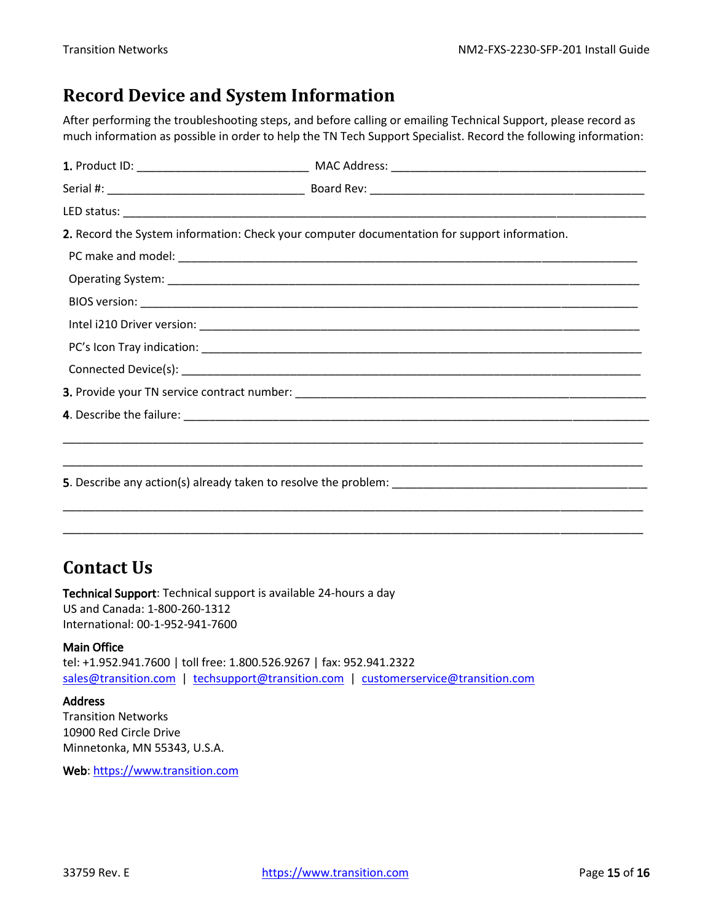### <span id="page-14-0"></span>**Record Device and System Information**

After performing the troubleshooting steps, and before calling or emailing Technical Support, please record as much information as possible in order to help the TN Tech Support Specialist. Record the following information:

| 2. Record the System information: Check your computer documentation for support information. |
|----------------------------------------------------------------------------------------------|
|                                                                                              |
|                                                                                              |
|                                                                                              |
|                                                                                              |
|                                                                                              |
|                                                                                              |
|                                                                                              |
|                                                                                              |
|                                                                                              |
|                                                                                              |
|                                                                                              |
|                                                                                              |
|                                                                                              |

### <span id="page-14-1"></span>**Contact Us**

Technical Support: Technical support is available 24-hours a day US and Canada: 1-800-260-1312 International: 00-1-952-941-7600

#### Main Office

tel: +1.952.941.7600 | toll free: 1.800.526.9267 | fax: 952.941.2322 sales@transition.com | techsupport@transition.com | customerservice@transition.com

#### **Address**

Transition Networks 10900 Red Circle Drive Minnetonka, MN 55343, U.S.A.

Web: https://www.transition.com